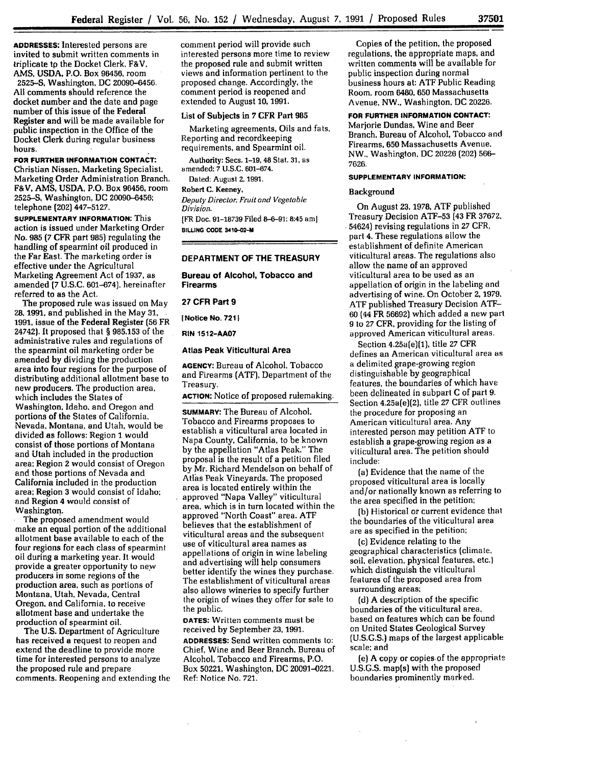**ADDRESSES:** Interested persons are invited to submit written comments in triplicate **tp** the Docket Clerk, F&V. **AMS, USDA,** P.O. Box 96456, room

**2525-S,** Washington, **DC 20090-6456. All** comments should reference the docket number and the date and page number of this issue of the Federal Register and will be made available for public inspection in the Office of the Docket Clerk during regular business hours.

**FOR FURTHER INFORMATION CONTACT:** Christian Nissen, Marketing Specialist. Marketing Order Administration Branch, F&V, AMS, **USDA,** P.O. Box 96456, room **2525-S,** Washington, **DC 20090-6456;** telephone (202) 447-5127.

**SUPPLEMENTARY INFORMATION:** This action is issued under Marketing Order No. 985 **(7** CFR part 985) regulating the handling of spearmint oil produced in the Far East. The marketing order is effective under the Agricultural Marketing Agreement Act of 1937, as amended (7 U.S.C. 601-674), hereinafter referred to as the Act.

The proposed rule was issued on May **28,** 1991, and published in the May 31, 1991, issue of the Federal Register (56 FR 24742). It proposed that **§** 985.153 of the administrative rules and regulations of the spearmint oil marketing order be amended by dividing the production area into four regions for the purpose of distributing additional allotment base to new producers. The production area. which includes the States of Washington, Idaho, and Oregon and portions of the States of California, Nevada, Montana, and Utah, would be divided as follows: Region I would consist of those portions of Montana and Utah included in the production area; Region 2 would consist of Oregon and those portions of Nevada and California included in the production area; Region 3 would consist of Idaho: and Region 4 would consist of Washington.

The proposed amendment would make an equal portion of the additional allotment base available to each of the four regions for each class of spearmint oil during a marketing year. It would provide a greater opportunity to new producers in some regions of the production area, such as portions of Montana, Utah, Nevada, Central Oregon. and California, to receive allotment base and undertake the production of spearmint oil.

The U.S. Department of Agriculture has received a request to reopen and extend the deadline to provide more time for interested persons to analyze the proposed rule and prepare comments. Reopening and extending the comment period will provide such interested persons more time to review the proposed rule and submit written views and information pertinent to the proposed change. Accordingly, the comment period is reopened and extended to August **10,** 1991.

#### List of Subjects in **7** CFR Part **985**

Marketing agreements, Oils and fats, Reporting and recordkeeping requirements, and Spearmint oil.

Authority: Secs. 1-19, 48 Stat. **31,** as amended: **7** U.S.C. 601-674.

Dated: August 2, **1991.**

**Robert C.** Keeney, *Deputy Director. Fruit and Vegetable Division.*

[FR Doc. **91-18739** Filed 8-6-91; 8:45 aml **BILLNG CODE 3410-02-M**

# **DEPARTMENT OF THE TREASURY**

**Bureau of Alcohol, Tobacco and Firearms**

**27 CFR Part 9**

**INotice No. 7211**

**RIN 1512-AA07**

# **Atlas Peak Viticultural Area**

**AGENCY:** Bureau of Alcohol, Tobacco and Firearms (ATF), Department of the Treasury.

**ACTION:** Notice of proposed rulemaking.

**SUMMARY:** The Bureau of Alcohol, Tobacco and Firearms proposes to establish a viticultural area located in Napa County, California, to be known by the appellation "Atlas Peak." The proposal is the result of a petition filed by Mr. Richard Mendelson on behalf of Atlas Peak Vineyards. The proposed area is located entirely within the approved "Napa Valley" viticultural area, which is in turn located within the approved "North Coast" area. ATF believes that the establishment of viticultural areas and the subsequent use of viticultural area names as appellations of origin in wine labeling and advertising will help consumers better identify the wines they purchase. The establishment of viticultural areas also allows wineries to specify further the origin of wines they offer for sale to the public.

**DATES:** Written comments must be received by September 23, **1991. ADDRESSES:** Send written comments to: Chief, Wine and Beer Branch, Bureau of Alcohol, Tobacco and Firearms, P.O. Box 50221, Washington, DC 20091-0221. Ref: Notice No. 721.

Copies of the petition, the proposed regulations, the appropriate maps, and written comments will be available for public inspection during normal business hours at: ATF Public Reading Room, room 6480, **650** Massachusetts Avenue, NW., Washington, DC 20226.

**FOR FURTHER INFORMATION CONTACT:** Marjorie Dundas, Wine and Beer Branch, Bureau of Alcohol, Tobacco and

Firearms, **650** Massachusetts Avenue, NW., Washington. **DC** 20226 (202) 566- 7626.

# **SUPPLEMENTARY INFORMATION:**

# Background

On August 23, 1978, ATF published Treasury Decision ATF-53 (43 FR 37672. 54624) revising regulations in 27 CFR, part 4. These regulations allow the establishment of definite American viticultural areas. The regulations also allow the name of an approved viticultural area to be used as an appellation of origin in the labeling and advertising of wine. On October 2, 1979. **ATF** published Treasury Decision ATF-**60** (44 FR 56692) which added a new part 9 to 27 CFR, providing for the listing of approved American viticultural areas.

Section 4.25a(e)(1), title 27 CFR defines an American viticultural area as a delimited grape-growing region distinguishable by geographical features, the boundaries of which have been delineated in subpart C of part 9. Section 4.25a(e)(2), title 27 CFR outlines the procedure for proposing an American viticultural area. Any interested person may petition ATF to establish a grape-growing region as a viticultural area. The petition should include:

(a) Evidence that the name of the proposed viticultural area is locally and/or nationally known as referring to the area specified in the petition;

(b) Historical or current evidence that the boundaries of the viticultural area are as specified in the petition;

(c) Evidence relating to the geographical characteristics (climate, soil, elevation, physical features, etc.) which distinguish the viticultural features of the proposed area from surrounding areas;

(d) A description of the specific boundaries of the viticultural area, based on features which can be found on United States Geological Survey (U.S.G.S.) maps of the largest applicable scale; and

(e) A copy or copies.of the appropriate U.S.G.S. map(s) with the proposed boundaries prominently marked.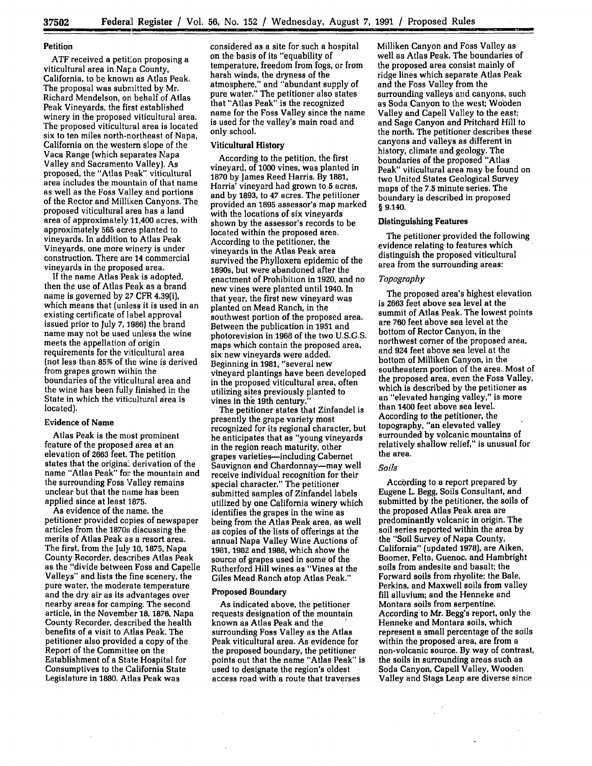# **Petition**

ATF received a petition proposing a viticultural area in Napa County, California, to be known as Atlas Peak. The proposal was submitted by Mr. Richard Mendelson, on behalf of Atlas Peak Vineyards, the first established winery in the proposed viticultural area. The proposed viticultural area is located six to ten miles north-northeast of Napa, California on the western slope of the Vaca Range (which separates Napa Valley and Sacramento Valley). As proposed, the "Atlas Peak". viticultural area includes the mountain of that name as well as the Foss Valley and portions of the Rector and Milliken Canyons. The proposed viticultural area has a land area of approximately 11,400 acres, with approximately **565** acres planted to vineyards. In addition to Atlas Peak Vineyards, one more winery is under construction. There are 14 commercial vineyards in the proposed area.

**If** the name Atlas Peak is adopted, then the use of Atlas Peak as a brand name is governed by 27 CFR 4.39(i), which means that (unless it is used in an existing certificate of label approval issued prior to July 7,1986) the brand name may not be used unless the wine meets the appellation of origin requirements for the viticultural area (not less than **85%** of the wine is derived from grapes grown within the boundaries of the viticultural area and the wine has been fully finished in the State in which the viticultural area is located).

# Evidence of Name

Atlas Peak is the most prominent feature of the proposed area at an elevation of 2663 feet. The petition states that the origina, derivation of the name "Atlas Peak" for the mountain and the surrounding Foss Valley remains unclear but that the name has been applied since at least 1875.

As evidence of the name, the petitioner provided copies of newspaper articles from the 1870s discussing the merits of Atlas Peak as a resort area. The first, from the July **10,** 1875, Napa County Recorder, describes Atlas Peak as the "divide between Foss and Capelle Valleys" and lists the fine scenery, the pure water, the moderate temperature and the dry air as its advantages over nearby areas for camping. The second article, in the November 18, **1876,** Napa County Recorder, described the health benefits of a visit to Atlas Peak. The petitioner also provided a copy of the Report of the Committee on the Establishment of a State Hospital for Consumptives to the California State Legislature in **1880.** Atlas Peak was

considered as a site for such a hospital on the basis of its "equability of temperature, freedom from fogs, or from harsh winds, the dryness of the atmosphere," and "abundant supply of pure water." The petitioner also states that "Atlas Peak" is the recognized name for the Foss Valley since the name is used for the valley's main road and only school.

# Viticultural **History**

According to the petition, the first vineyard, of **1000** vines, was planted in **1870 by** James Reed Harris. **By 1881,** Harris' vineyard had grown to **5** acres, and **by** 1893, to 47 acres. The petitioner provided an **1895** assessor's map marked with the locations of six vineyards shown **by** the assessor's records to be located within the proposed area. According to the petitioner, the vineyards in the Atlas Peak area survived the Phylloxera epidemic of the 1890s, but were abandoned after the enactment of Prohibition in 1920, and no new vines were planted until 1940. In that year, the first new vineyard was planted on Mead Ranch, in the southwest portion of the proposed area. Between the publication in **1951** and photorevision in **1968** of the two **U.S.G.S.** maps which contain the proposed area, six-new vineyards were added. Beginning in 1981, "several new vineyard plantings have been developed in the proposed viticultural area, often utilizing sites previously planted to vines in the 19th century.

The petitioner states that Zinfandel is presently the grape variety most recognized for its regional character, but he anticipates that as "young vineyards in the region reach maturity, other grapes varieties-including Cabernet Sauvignon and Chardonnay-may well receive individual recognition for their special character." The petitioner submitted samples of Zinfandel labels utilized by one California winery which identifies the grapes in the wine as being from the Atlas Peak area, as well as copies of the lists of offerings at the annual Napa Valley Wine Auctions of **1981, 1982** and **1988,** which show the source of grapes used in some of the Rutherford Hill wines as "Vines at the Giles Mead Ranch atop Atlas Peak."

#### **Proposed Boundary**

As indicated above, the petitioner requests designation of the mountain known as Atlas Peak and the surrounding Foss Valley as the Atlas Peak viticultural area. As evidence for the proposed boundary, the petitioner points out that the name "Atlas Peak" is used to designate the region's oldest access road with a route that traverses

Milliken Canyon and Foss Valley as well as Atlas Peak. The boundaries of the proposed area consist mainly of ridge lines which separate Atlas Peak and the Foss Valley from the surrounding valleys and canyons, such as Soda Canyon to the west; Wobden Valley and Capell Valley to the east; and Sage Canyon and Pritchard Hill to the north. The petitioner describes these canyons and valleys as different in history, climate and geology. The boundaries of the proposed "Atlas Peak" viticultural area may be found on two United States Geological Survey maps of the **7.5** minute series. The boundary is described in proposed **§** 9.140.

#### **Distinguishing Features**

The petitioner provided the following evidence relating to features which distinguish the proposed viticultural area from the surrounding areas:

# *Topography*

The proposed area's highest elevation is 2663 feet above sea level at the summit of Atlas Peak. The lowest points are **760** feet above sea level at the bottom of Rector Canyon, in the northwest comer of the proposed area, and 924 feet above sea level at the bottom of Milliken Canyon, in the southeastern portion of the area. Most of the proposed area, even the Foss Valley, which is described **by** the petitioner as an "elevated hanging valley," is more than 1400 feet above sea level. According to the petitioner, the topography, "an elevated valley surrounded **by** volcanic mountains of relatively shallow relief," is unusual for the area.

# *Soils*

According to a report prepared **by** Eugene L. Begg, Soils Consultant, and submitted by the petitioner, the soils of the proposed Atlas Peak area are predominantly volcanic in origin. The soil series reported within the area by the "Soil Survey of Napa County, California" (updated 1978), are Aiken, Boomer, Felta. Guenoc, and Hambright soils from andesite and basalt; the Forward soils from rhyolite; the Bale, Perkins, and Maxwell soils from valley fill alluvium; and the Henneke and Montara soils from serpentine. According to Mr. Begg's report, only the Henneke and Montara soils, which represent a small percentage of the soils within the proposed area, are from a non-volcanic source. By way of contrast, the soils in surrounding areas such as Soda Canyon, Capell Valley, Wooden Valley and Stags Leap are diverse since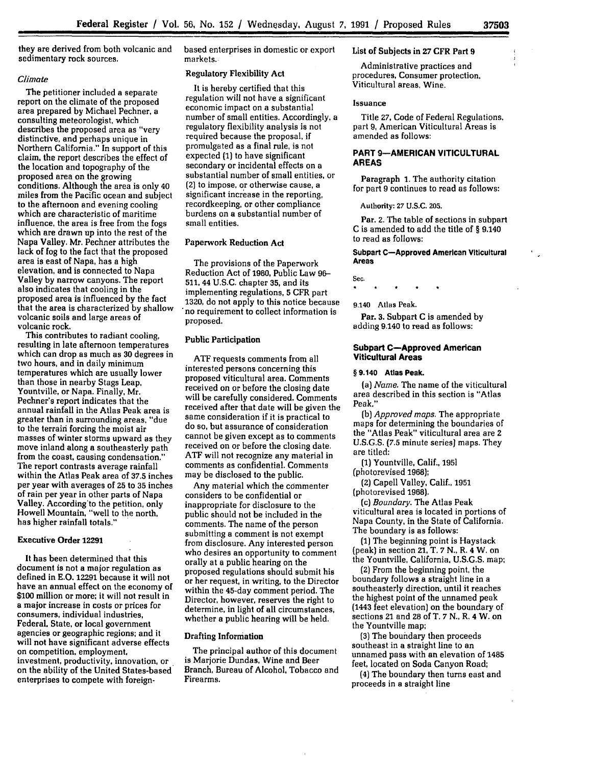they are derived from both volcanic and sedimentary rock sources.

# *Climate*

The petitioner included a separate report on the climate of the proposed area prepared by Michael Pechner, a consulting meteorologist, which<br>describes the proposed area as "very describes the proposed area as "very distinctive, and perhaps unique in Northern California." In support of this claim, the report describes the effect of the location and topography of the proposed area on the growing conditions. Although the area is only 40 miles from the Pacific ocean and subject to the afternoon and evening cooling which are characteristic of maritime influence, the area is free from the fogs which are drawn up into the rest of the Napa Valley. Mr. Pechner attributes the lack of fog to the fact that the proposed area is east of Napa, has a high elevation, and is connected to Napa Valley **by** narrow canyons. The report also indicates that cooling in the proposed area is influenced by the fact that the area is characterized **by** shallow volcanic soils and large areas of volcanic rock.

This contributes to radiant cooling,<br>resulting in late afternoon temperatures which can drop as much as 30 degrees in two hours, and in daily minimum temperatures which are usually lower than those in nearby Stags Leap, Yountville, or Napa. Finally, Mr. Pechner's report indicates that the annual rainfall in the Atlas Peak area is greater than in surrounding areas, "due to the terrain forcing the moist air masses of winter storms upward as they move inland along a southeasterly path from the coast, causing condensation." The report contrasts average rainfall within the Atlas Peak area of 37.5 inches per year with averages of **25** to **35** inches of rain per year in other parts of Napa Valley. According'to the petition, only Howell Mountain, "well to the north, has higher rainfall totals."

# Executive Order **12291**

It has been determined that this document is not a major regulation as defined in E.O. 12291 because it will not have an annual effect on the economy of **\$100** million or more; it will not result in a major increase in costs or prices for consumers, individual industries, Federal, State, or local government agencies or geographic regions; and it will not have significant adverse effects on competition, employment, investment, productivity, innovation, or on the ability of the United States-based enterprises to compete with foreignbased enterprises in domestic or export markets.

#### Regulatory Flexibility Act

It is hereby certified that this regulation will not have a significant economic impact on a substantial number of small entities. Accordingly, a regulatory flexibility analysis is not required because the proposal, if promulgated as a final rule, is not expected (1) to have significant secondary or incidental effects on a substantial number of small entities, or (2) to impose, or otherwise cause, a significant increase in the reporting, recordkeeping, or other compliance burdens on a substantial number of small entities.

# Paperwork Reduction Act

The provisions of the Paperwork Reduction Act of **1980,** Public Law 96- 511, 44 U.S.C. chapter **35,** and its implementing regulations, **5** CFR part **1320,** do not apply to this notice because no requirement to collect information is proposed.

### Public Participation

ATF requests comments from all interested persons concerning this proposed viticultural area. Comments received on or before the closing date will be carefully considered. Comments received after that date will be given the same consideration if it is practical to do so, but assurance of consideration cannot be given except as to comments received on or before the closing date. ATF will not recognize any material in comments as confidential. Comments may be disclosed to the public.

Any material which the commenter considers to be confidential or inappropriate for disclosure to the public should not be included in the comments. The name of the person submitting a comment is not exempt from disclosure. Any interested person who desires an opportunity to comment orally at a public hearing on the proposed regulations should submit his or her request, in writing, to the Director within the 45-day comment period. The Director, however, reserves the right to determine, in light of all circumstances, whether a public hearing will be held.

# Drafting Information

The principal author of this document is Marjorie Dundas, Wine and Beer Branch, Bureau of Alcohol, Tobacco and Firearms.

# List of Subjects in **27** CFR Part **9**

Administrative practices and procedures, Consumer protection, Viticultural areas, Wine.

#### Issuance

Title **27,** Code of Federal Regulations, part 9, American Viticultural Areas is amended as follows:

# **PART 9-AMERICAN VITICULTURAL AREAS**

Paragraph **1.** The authority citation for part 9 continues to read as follows:

#### Aulhority: **27 U.S.C. 205.**

Par. 2. The table of sections in subpart C is amended to add the title of § 9.140 to read as follows:

# **Subpart C-Approved American Viticultural Areas**

**Sec.**

**9.140 Atlas Peak.**

Par. **3.** Subpart **C** is amended **by** adding 9.140 to read as follows:

# **Subpart C-Approved American Viticultural Areas**

#### **§ 9.140 Atlas Peak.**

*(a) Name.* The name of the viticultural area described in this section is "Atlas Peak."

**(b)** *Approved maps.* The appropriate maps for determining the boundaries of the "Atlas Peak" viticultural area are **2 U.S.G.S.** (7.5 minute series] maps. They are titled:

**(1)** Yountville, Calif., **1951** (photorevised **1968);**

(2) Capell Valley, Calif., 1951 (photorevised 1968).

**(c)** *Boundary.* The Atlas Peak viticultural area is located in portions of Napa County, in the State of California. The boundary is as follows:

**(1)** The beginning point is Haystack (peak) in section 21, T. **7** N., R. 4 W. on the Yountville, California, U.S.G.S. map;

(2) From the beginning point, the boundary follows a straight line in a southeasterly direction, until it reaches the highest point of the unnamed peak (1443 feet elevation) on the boundary of sections 21 and 28 of T. **7 N.,** R. 4 W. on the Yountville map;

**(3)** The boundary then proceeds southeast in a straight line to an unnamed pass with an elevation of 1485 feet, located on Soda Canyon Road;

(4) The boundary then turns east and proceeds in a straight line